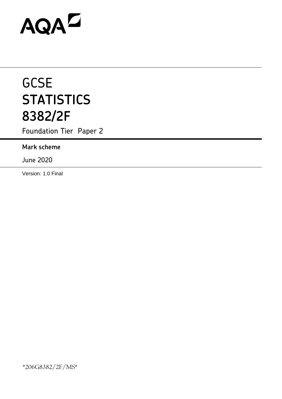# AQAD

# **GCSE STATISTICS 8382/2F**

Foundation Tier Paper 2

# **Mark scheme**

June 2020

Version: 1.0 Final

\*206G8382/2F/MS\*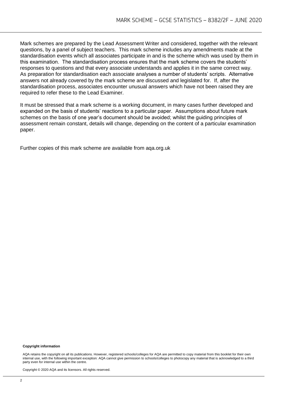Mark schemes are prepared by the Lead Assessment Writer and considered, together with the relevant questions, by a panel of subject teachers. This mark scheme includes any amendments made at the standardisation events which all associates participate in and is the scheme which was used by them in this examination. The standardisation process ensures that the mark scheme covers the students' responses to questions and that every associate understands and applies it in the same correct way. As preparation for standardisation each associate analyses a number of students' scripts. Alternative answers not already covered by the mark scheme are discussed and legislated for. If, after the standardisation process, associates encounter unusual answers which have not been raised they are required to refer these to the Lead Examiner.

It must be stressed that a mark scheme is a working document, in many cases further developed and expanded on the basis of students' reactions to a particular paper. Assumptions about future mark schemes on the basis of one year's document should be avoided; whilst the guiding principles of assessment remain constant, details will change, depending on the content of a particular examination paper.

Further copies of this mark scheme are available from aqa.org.uk

#### **Copyright information**

AQA retains the copyright on all its publications. However, registered schools/colleges for AQA are permitted to copy material from this booklet for their own internal use, with the following important exception: AQA cannot give permission to schools/colleges to photocopy any material that is acknowledged to a third party even for internal use within the centre.

Copyright © 2020 AQA and its licensors. All rights reserved.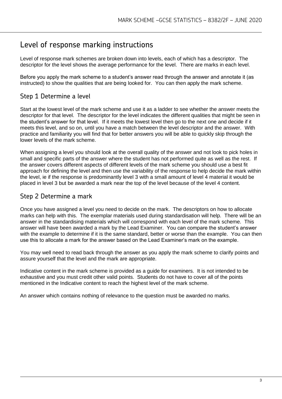# Level of response marking instructions

Level of response mark schemes are broken down into levels, each of which has a descriptor. The descriptor for the level shows the average performance for the level. There are marks in each level.

Before you apply the mark scheme to a student's answer read through the answer and annotate it (as instructed) to show the qualities that are being looked for. You can then apply the mark scheme.

## Step 1 Determine a level

Start at the lowest level of the mark scheme and use it as a ladder to see whether the answer meets the descriptor for that level. The descriptor for the level indicates the different qualities that might be seen in the student's answer for that level. If it meets the lowest level then go to the next one and decide if it meets this level, and so on, until you have a match between the level descriptor and the answer. With practice and familiarity you will find that for better answers you will be able to quickly skip through the lower levels of the mark scheme.

When assigning a level you should look at the overall quality of the answer and not look to pick holes in small and specific parts of the answer where the student has not performed quite as well as the rest. If the answer covers different aspects of different levels of the mark scheme you should use a best fit approach for defining the level and then use the variability of the response to help decide the mark within the level, ie if the response is predominantly level 3 with a small amount of level 4 material it would be placed in level 3 but be awarded a mark near the top of the level because of the level 4 content.

### Step 2 Determine a mark

Once you have assigned a level you need to decide on the mark. The descriptors on how to allocate marks can help with this. The exemplar materials used during standardisation will help. There will be an answer in the standardising materials which will correspond with each level of the mark scheme. This answer will have been awarded a mark by the Lead Examiner. You can compare the student's answer with the example to determine if it is the same standard, better or worse than the example. You can then use this to allocate a mark for the answer based on the Lead Examiner's mark on the example.

You may well need to read back through the answer as you apply the mark scheme to clarify points and assure yourself that the level and the mark are appropriate.

Indicative content in the mark scheme is provided as a guide for examiners. It is not intended to be exhaustive and you must credit other valid points. Students do not have to cover all of the points mentioned in the Indicative content to reach the highest level of the mark scheme.

An answer which contains nothing of relevance to the question must be awarded no marks.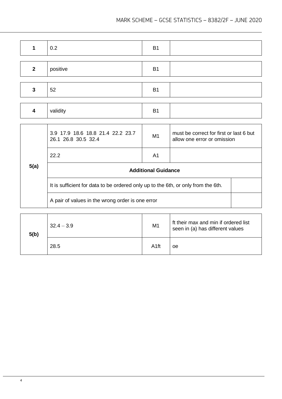| 1            | 0.2                                                                               | B <sub>1</sub> |                                                                        |  |
|--------------|-----------------------------------------------------------------------------------|----------------|------------------------------------------------------------------------|--|
|              |                                                                                   |                |                                                                        |  |
| $\mathbf{2}$ | positive                                                                          | <b>B1</b>      |                                                                        |  |
|              |                                                                                   |                |                                                                        |  |
| $\mathbf{3}$ | 52                                                                                | <b>B1</b>      |                                                                        |  |
|              |                                                                                   |                |                                                                        |  |
| 4            | validity                                                                          | <b>B1</b>      |                                                                        |  |
|              |                                                                                   |                |                                                                        |  |
|              | 3.9 17.9 18.6 18.8 21.4 22.2 23.7<br>26.1 26.8 30.5 32.4                          | M1             | must be correct for first or last 6 but<br>allow one error or omission |  |
|              | 22.2                                                                              | A <sub>1</sub> |                                                                        |  |
| 5(a)         | <b>Additional Guidance</b>                                                        |                |                                                                        |  |
|              | It is sufficient for data to be ordered only up to the 6th, or only from the 6th. |                |                                                                        |  |
|              | A pair of values in the wrong order is one error                                  |                |                                                                        |  |
|              |                                                                                   |                |                                                                        |  |
|              |                                                                                   |                |                                                                        |  |

| 5(b) | $32.4 - 3.9$ | M <sub>1</sub>   | ft their max and min if ordered list<br>seen in (a) has different values |
|------|--------------|------------------|--------------------------------------------------------------------------|
|      | 28.5         | A <sub>1ft</sub> | oe                                                                       |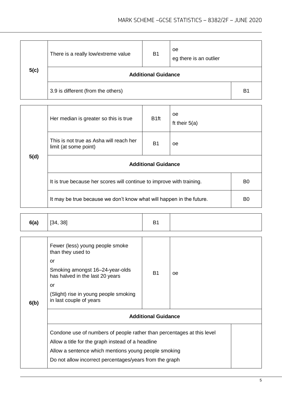| 5(c) | There is a really low/extreme value | <b>B1</b> | oe<br>eg there is an outlier |                |  |
|------|-------------------------------------|-----------|------------------------------|----------------|--|
|      | <b>Additional Guidance</b>          |           |                              |                |  |
|      | 3.9 is different (from the others)  |           |                              | B <sub>1</sub> |  |

| 5(d) | Her median is greater so this is true                                                   | B <sub>1ft</sub> | <sub>oe</sub><br>ft their $5(a)$ |  |  |
|------|-----------------------------------------------------------------------------------------|------------------|----------------------------------|--|--|
|      | This is not true as Asha will reach her<br>limit (at some point)                        | <b>B</b> 1       | <sub>oe</sub>                    |  |  |
|      | <b>Additional Guidance</b>                                                              |                  |                                  |  |  |
|      | It is true because her scores will continue to improve with training.<br>B <sub>0</sub> |                  |                                  |  |  |
|      | It may be true because we don't know what will happen in the future.                    |                  |                                  |  |  |

| 6(b) | Fewer (less) young people smoke<br>than they used to<br>or<br>Smoking amongst 16-24-year-olds<br>has halved in the last 20 years<br>or<br>(Slight) rise in young people smoking<br>in last couple of years                                     | <b>B1</b> | oe |  |  |
|------|------------------------------------------------------------------------------------------------------------------------------------------------------------------------------------------------------------------------------------------------|-----------|----|--|--|
|      | <b>Additional Guidance</b>                                                                                                                                                                                                                     |           |    |  |  |
|      | Condone use of numbers of people rather than percentages at this level<br>Allow a title for the graph instead of a headline<br>Allow a sentence which mentions young people smoking<br>Do not allow incorrect percentages/years from the graph |           |    |  |  |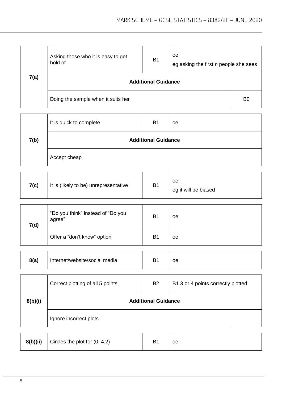| 7(a) | Asking those who it is easy to get<br>hold of | B <sub>1</sub> | 0e<br>eg asking the first $n$ people she sees |  |  |
|------|-----------------------------------------------|----------------|-----------------------------------------------|--|--|
|      | <b>Additional Guidance</b>                    |                |                                               |  |  |
|      | Doing the sample when it suits her            |                |                                               |  |  |

| 7(b) | It is quick to complete    | B <sub>1</sub> | <sub>oe</sub> |  |
|------|----------------------------|----------------|---------------|--|
|      | <b>Additional Guidance</b> |                |               |  |
|      | Accept cheap               |                |               |  |

| 7(c)<br>It is (likely to be) unrepresentative | B <sub>1</sub> | oе<br>eg it will be biased |
|-----------------------------------------------|----------------|----------------------------|
|-----------------------------------------------|----------------|----------------------------|

| 7(d) | "Do you think" instead of "Do you<br>agree" | B <sub>1</sub> | oe |
|------|---------------------------------------------|----------------|----|
|      | Offer a "don't know" option                 | B <sub>1</sub> | oе |

| 8(a)<br>Internet/website/social media | D4 | oe |
|---------------------------------------|----|----|
|---------------------------------------|----|----|

| 8(b)(i) | B <sub>2</sub><br>Correct plotting of all 5 points<br>B1 3 or 4 points correctly plotted |  |  |  |
|---------|------------------------------------------------------------------------------------------|--|--|--|
|         | <b>Additional Guidance</b>                                                               |  |  |  |
|         | Ignore incorrect plots                                                                   |  |  |  |

| 8(b)(ii) | Circles the plot for $(0, 4.2)$ | B <sub>1</sub> | <b>oe</b> |
|----------|---------------------------------|----------------|-----------|
|----------|---------------------------------|----------------|-----------|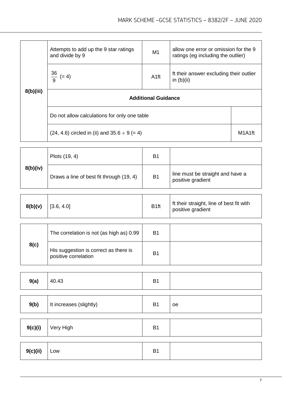|           | Attempts to add up the 9 star ratings<br>and divide by 9 | M1               | allow one error or omission for the 9<br>ratings (eg including the outlier) |        |
|-----------|----------------------------------------------------------|------------------|-----------------------------------------------------------------------------|--------|
|           | $\frac{36}{9} (= 4)$                                     | A <sub>1ft</sub> | ft their answer excluding their outlier<br>in $(b)(ii)$                     |        |
| 8(b)(iii) | <b>Additional Guidance</b>                               |                  |                                                                             |        |
|           | Do not allow calculations for only one table             |                  |                                                                             |        |
|           | $(24, 4.6)$ circled in (ii) and $35.6 \div 9 (= 4)$      |                  |                                                                             | M1A1ft |

|          | Plots (19, 4)                            | <b>B1</b> |                                                       |
|----------|------------------------------------------|-----------|-------------------------------------------------------|
| 8(b)(iv) | Draws a line of best fit through (19, 4) | <b>B1</b> | line must be straight and have a<br>positive gradient |

| 8(b)(v)<br>$\vert$ [3.6, 4.0] | B <sub>1ft</sub> | If their straight, line of best fit with<br>positive gradient |
|-------------------------------|------------------|---------------------------------------------------------------|
|-------------------------------|------------------|---------------------------------------------------------------|

|      | The correlation is not (as high as) 0.99                      | B <sub>1</sub> |  |
|------|---------------------------------------------------------------|----------------|--|
| 8(c) | His suggestion is correct as there is<br>positive correlation | B <sub>1</sub> |  |

| 9(a) | 40.43 | D <sub>4</sub><br>ו ס |  |
|------|-------|-----------------------|--|
|------|-------|-----------------------|--|

| 9(b)     | It increases (slightly) | <b>B1</b> | <sub>oe</sub> |
|----------|-------------------------|-----------|---------------|
|          |                         |           |               |
| 9(c)(i)  | Very High               | <b>B1</b> |               |
|          |                         |           |               |
| 9(c)(ii) | Low                     | <b>B1</b> |               |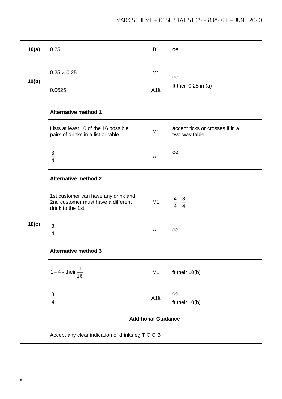| 10(a) | 0.25               | B <sub>1</sub> | 0e                       |
|-------|--------------------|----------------|--------------------------|
|       | $0.25 \times 0.25$ | M <sub>1</sub> | 0e                       |
| 10(b) | 0.0625             | A1ft           | ft their $0.25$ in $(a)$ |

|       | <b>Alternative method 1</b>                                                                   |                  |                                                  |  |
|-------|-----------------------------------------------------------------------------------------------|------------------|--------------------------------------------------|--|
|       | Lists at least 10 of the 16 possible<br>pairs of drinks in a list or table                    | M1               | accept ticks or crosses if in a<br>two-way table |  |
|       | $rac{3}{4}$                                                                                   | A <sub>1</sub>   | oe                                               |  |
|       | <b>Alternative method 2</b>                                                                   |                  |                                                  |  |
|       | 1st customer can have any drink and<br>2nd customer must have a different<br>drink to the 1st | M <sub>1</sub>   | $\frac{4}{4} \times \frac{3}{4}$                 |  |
| 10(c) | $rac{3}{4}$                                                                                   | A <sub>1</sub>   | oe                                               |  |
|       | <b>Alternative method 3</b>                                                                   |                  |                                                  |  |
|       | 1 – 4 × their $\frac{1}{16}$                                                                  | M <sub>1</sub>   | ft their $10(b)$                                 |  |
|       | $rac{3}{4}$                                                                                   | A <sub>1ft</sub> | oe<br>ft their $10(b)$                           |  |
|       | <b>Additional Guidance</b>                                                                    |                  |                                                  |  |
|       | Accept any clear indication of drinks eg T C O B                                              |                  |                                                  |  |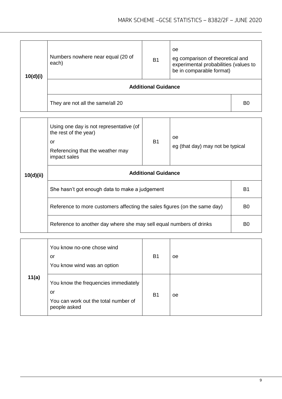| 10(d)(i) | Numbers nowhere near equal (20 of<br>each) | <b>B1</b> | oe<br>eg comparison of theoretical and<br>experimental probabilities (values to<br>be in comparable format) |  |
|----------|--------------------------------------------|-----------|-------------------------------------------------------------------------------------------------------------|--|
|          | <b>Additional Guidance</b>                 |           |                                                                                                             |  |
|          | They are not all the same/all 20           |           |                                                                                                             |  |

|           | Using one day is not representative (of<br>the rest of the year)<br>oe<br><b>B1</b><br>or<br>eg (that day) may not be typical<br>Referencing that the weather may<br>impact sales |  |  |                |  |
|-----------|-----------------------------------------------------------------------------------------------------------------------------------------------------------------------------------|--|--|----------------|--|
| 10(d)(ii) | <b>Additional Guidance</b>                                                                                                                                                        |  |  |                |  |
|           | She hasn't got enough data to make a judgement                                                                                                                                    |  |  |                |  |
|           | Reference to more customers affecting the sales figures (on the same day)                                                                                                         |  |  |                |  |
|           | Reference to another day where she may sell equal numbers of drinks                                                                                                               |  |  | B <sub>0</sub> |  |

|       | You know no-one chose wind<br>or<br>You know wind was an option                                    | B <sub>1</sub> | oe |
|-------|----------------------------------------------------------------------------------------------------|----------------|----|
| 11(a) | You know the frequencies immediately<br>or<br>You can work out the total number of<br>people asked | B <sub>1</sub> | oe |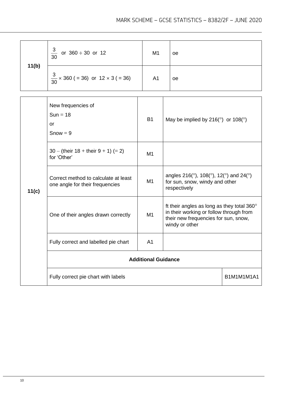| 11(b) | $\frac{3}{30}$ or 360 ÷ 30 or 12                                        | M <sub>1</sub>             |                                                                                                                                                 | <b>oe</b>                                                                                                                        |  |
|-------|-------------------------------------------------------------------------|----------------------------|-------------------------------------------------------------------------------------------------------------------------------------------------|----------------------------------------------------------------------------------------------------------------------------------|--|
|       | $\frac{3}{30}$ × 360 ( = 36) or 12 × 3 ( = 36)                          | A <sub>1</sub>             |                                                                                                                                                 | <b>oe</b>                                                                                                                        |  |
|       | New frequencies of<br>$Sun = 18$<br><b>or</b><br>$Show = 9$             | <b>B1</b>                  |                                                                                                                                                 | May be implied by 216( $\degree$ ) or 108( $\degree$ )                                                                           |  |
|       | $30 - ($ their 18 + their 9 + 1) (= 2)<br>for 'Other'                   | M1                         |                                                                                                                                                 |                                                                                                                                  |  |
| 11(c) | Correct method to calculate at least<br>one angle for their frequencies | M1                         |                                                                                                                                                 | angles 216( $\degree$ ), 108( $\degree$ ), 12( $\degree$ ) and 24( $\degree$ )<br>for sun, snow, windy and other<br>respectively |  |
|       | One of their angles drawn correctly                                     | M1                         | ft their angles as long as they total 360°<br>in their working or follow through from<br>their new frequencies for sun, snow,<br>windy or other |                                                                                                                                  |  |
|       | Fully correct and labelled pie chart                                    | A <sub>1</sub>             |                                                                                                                                                 |                                                                                                                                  |  |
|       |                                                                         | <b>Additional Guidance</b> |                                                                                                                                                 |                                                                                                                                  |  |
|       | Fully correct pie chart with labels                                     |                            |                                                                                                                                                 | B1M1M1M1A1                                                                                                                       |  |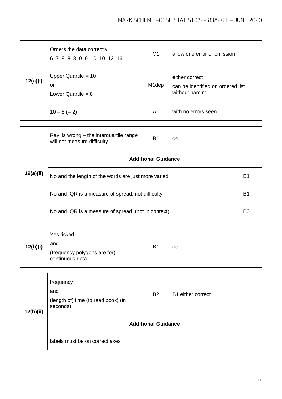| 12(a)(i) | Orders the data correctly<br>6 7 8 8 8 9 9 10 10 13 16 | M <sub>1</sub>     | allow one error or omission                                            |
|----------|--------------------------------------------------------|--------------------|------------------------------------------------------------------------|
|          | Upper Quartile $=$ 10<br>or<br>Lower Quartile = $8$    | M <sub>1</sub> dep | either correct<br>can be identified on ordered list<br>without naming. |
|          | $10 - 8 (= 2)$                                         | A1                 | with no errors seen                                                    |

|           | Ravi is wrong – the interquartile range<br>will not measure difficulty | <b>B1</b> | oe |  |  |
|-----------|------------------------------------------------------------------------|-----------|----|--|--|
|           | <b>Additional Guidance</b>                                             |           |    |  |  |
| 12(a)(ii) | No and the length of the words are just more varied                    |           |    |  |  |
|           | No and IQR is a measure of spread, not difficulty                      |           |    |  |  |
|           | No and IQR is a measure of spread (not in context)                     |           |    |  |  |

| 12(b)(ii) | frequency<br>and<br>(length of) time (to read book) (in<br>seconds) | <b>B2</b> | B1 either correct |  |  |
|-----------|---------------------------------------------------------------------|-----------|-------------------|--|--|
|           | <b>Additional Guidance</b>                                          |           |                   |  |  |
|           | labels must be on correct axes                                      |           |                   |  |  |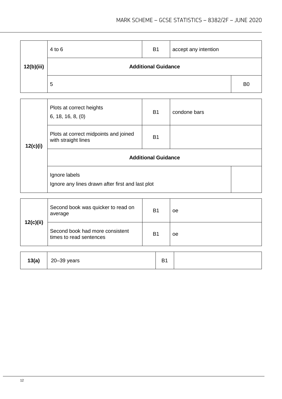| 12(b)(iii) | $4$ to $6$                 | <b>B1</b> | accept any intention |                |
|------------|----------------------------|-----------|----------------------|----------------|
|            | <b>Additional Guidance</b> |           |                      |                |
|            | 5                          |           |                      | B <sub>0</sub> |

| 12(c)(i) | Plots at correct heights<br>6, 18, 16, 8, (0)                     | <b>B1</b> | condone bars |  |  |
|----------|-------------------------------------------------------------------|-----------|--------------|--|--|
|          | Plots at correct midpoints and joined<br>with straight lines      | <b>B1</b> |              |  |  |
|          | <b>Additional Guidance</b>                                        |           |              |  |  |
|          | Ignore labels<br>Ignore any lines drawn after first and last plot |           |              |  |  |

|           | Second book was quicker to read on<br>average              | B <sub>1</sub> | <b>oe</b> |
|-----------|------------------------------------------------------------|----------------|-----------|
| 12(c)(ii) | Second book had more consistent<br>times to read sentences | B <sub>1</sub> | <b>oe</b> |

| 13(a) | 20-39 years | $\mathbf{D}$<br>ٮ |  |
|-------|-------------|-------------------|--|
|-------|-------------|-------------------|--|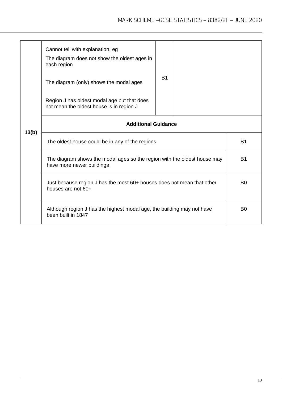|       | Cannot tell with explanation, eg<br>The diagram does not show the oldest ages in<br>each region<br>The diagram (only) shows the modal ages<br>Region J has oldest modal age but that does<br>not mean the oldest house is in region J | <b>B1</b>      |  |                |
|-------|---------------------------------------------------------------------------------------------------------------------------------------------------------------------------------------------------------------------------------------|----------------|--|----------------|
|       | <b>Additional Guidance</b>                                                                                                                                                                                                            |                |  |                |
| 13(b) | The oldest house could be in any of the regions                                                                                                                                                                                       | <b>B1</b>      |  |                |
|       | The diagram shows the modal ages so the region with the oldest house may<br>have more newer buildings                                                                                                                                 | <b>B1</b>      |  |                |
|       | Just because region J has the most 60+ houses does not mean that other<br>houses are not 60+                                                                                                                                          |                |  | B <sub>0</sub> |
|       | Although region J has the highest modal age, the building may not have<br>been built in 1847                                                                                                                                          | B <sub>0</sub> |  |                |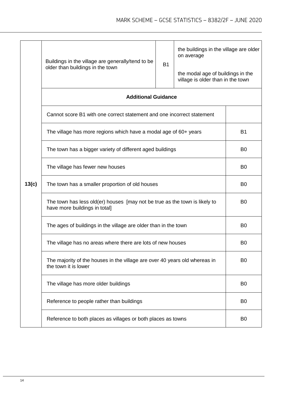|       | Buildings in the village are generally/tend to be<br>older than buildings in the town                       | the buildings in the village are older<br>the modal age of buildings in the<br>village is older than in the town |  |           |
|-------|-------------------------------------------------------------------------------------------------------------|------------------------------------------------------------------------------------------------------------------|--|-----------|
|       | <b>Additional Guidance</b>                                                                                  |                                                                                                                  |  |           |
|       | Cannot score B1 with one correct statement and one incorrect statement                                      |                                                                                                                  |  |           |
|       | The village has more regions which have a modal age of 60+ years                                            |                                                                                                                  |  | <b>B1</b> |
| 13(c) | The town has a bigger variety of different aged buildings                                                   | B <sub>0</sub>                                                                                                   |  |           |
|       | The village has fewer new houses                                                                            | B <sub>0</sub>                                                                                                   |  |           |
|       | The town has a smaller proportion of old houses                                                             | B <sub>0</sub>                                                                                                   |  |           |
|       | The town has less old(er) houses [may not be true as the town is likely to<br>have more buildings in total] | B <sub>0</sub>                                                                                                   |  |           |
|       | The ages of buildings in the village are older than in the town                                             | B <sub>0</sub>                                                                                                   |  |           |
|       | The village has no areas where there are lots of new houses                                                 | B <sub>0</sub>                                                                                                   |  |           |
|       | The majority of the houses in the village are over 40 years old whereas in<br>the town it is lower          | B <sub>0</sub>                                                                                                   |  |           |
|       | The village has more older buildings                                                                        | B <sub>0</sub>                                                                                                   |  |           |
|       | Reference to people rather than buildings                                                                   | B <sub>0</sub>                                                                                                   |  |           |
|       | Reference to both places as villages or both places as towns                                                | B <sub>0</sub>                                                                                                   |  |           |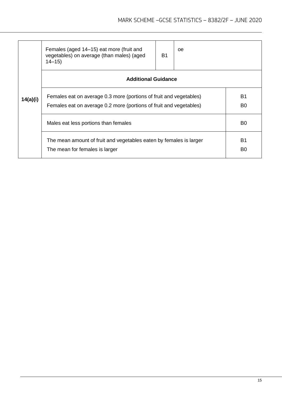|          | Females (aged 14–15) eat more (fruit and<br>vegetables) on average (than males) (aged<br>$14 - 15$                                       | B1                          | 0e |  |  |
|----------|------------------------------------------------------------------------------------------------------------------------------------------|-----------------------------|----|--|--|
|          | <b>Additional Guidance</b>                                                                                                               |                             |    |  |  |
| 14(a)(i) | Females eat on average 0.3 more (portions of fruit and vegetables)<br>Females eat on average 0.2 more (portions of fruit and vegetables) |                             |    |  |  |
|          | Males eat less portions than females                                                                                                     |                             |    |  |  |
|          | The mean amount of fruit and vegetables eaten by females is larger<br>The mean for females is larger                                     | <b>B1</b><br>B <sub>0</sub> |    |  |  |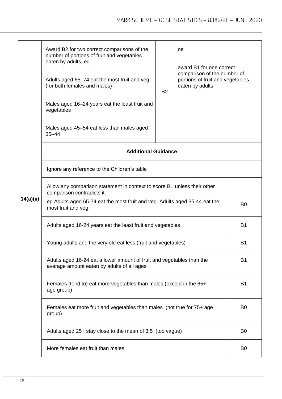|           | Award B2 for two correct comparisons of the<br>number of portions of fruit and vegetables<br>eaten by adults, eg<br>Adults aged 65-74 eat the most fruit and veg<br>(for both females and males) | <b>B2</b>      | <sub>oe</sub><br>award B1 for one correct<br>comparison of the number of<br>portions of fruit and vegetables<br>eaten by adults |                |  |
|-----------|--------------------------------------------------------------------------------------------------------------------------------------------------------------------------------------------------|----------------|---------------------------------------------------------------------------------------------------------------------------------|----------------|--|
|           | Males aged 16–24 years eat the least fruit and<br>vegetables                                                                                                                                     |                |                                                                                                                                 |                |  |
|           | Males aged 45–54 eat less than males aged<br>$35 - 44$                                                                                                                                           |                |                                                                                                                                 |                |  |
|           | <b>Additional Guidance</b>                                                                                                                                                                       |                |                                                                                                                                 |                |  |
|           | Ignore any reference to the Children's table                                                                                                                                                     |                |                                                                                                                                 |                |  |
|           | Allow any comparison statement in context to score B1 unless their other<br>comparison contradicts it.                                                                                           |                |                                                                                                                                 |                |  |
| 14(a)(ii) | eg Adults aged 65-74 eat the most fruit and veg. Adults aged 35-44 eat the<br>most fruit and veg.                                                                                                | B <sub>0</sub> |                                                                                                                                 |                |  |
|           | Adults aged 16-24 years eat the least fruit and vegetables                                                                                                                                       |                |                                                                                                                                 |                |  |
|           | Young adults and the very old eat less (fruit and vegetables)                                                                                                                                    | <b>B1</b>      |                                                                                                                                 |                |  |
|           | Adults aged 16-24 eat a lower amount of fruit and vegetables than the<br>average amount eaten by adults of all ages                                                                              |                |                                                                                                                                 |                |  |
|           | Females (tend to) eat more vegetables than males (except in the 65+<br>age group)                                                                                                                | <b>B1</b>      |                                                                                                                                 |                |  |
|           | Females eat more fruit and vegetables than males (not true for 75+ age<br>group)                                                                                                                 | B <sub>0</sub> |                                                                                                                                 |                |  |
|           | Adults aged 25+ stay close to the mean of 3.5 (too vague)<br>B <sub>0</sub>                                                                                                                      |                |                                                                                                                                 |                |  |
|           | More females eat fruit than males                                                                                                                                                                |                |                                                                                                                                 | B <sub>0</sub> |  |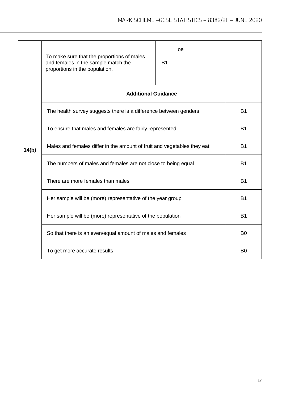|       | To make sure that the proportions of males<br>and females in the sample match the<br>proportions in the population. | <b>B1</b>      | 0e |  |  |
|-------|---------------------------------------------------------------------------------------------------------------------|----------------|----|--|--|
|       | <b>Additional Guidance</b>                                                                                          |                |    |  |  |
| 14(b) | The health survey suggests there is a difference between genders                                                    | <b>B1</b>      |    |  |  |
|       | To ensure that males and females are fairly represented                                                             | <b>B1</b>      |    |  |  |
|       | Males and females differ in the amount of fruit and vegetables they eat                                             | <b>B1</b>      |    |  |  |
|       | The numbers of males and females are not close to being equal                                                       | <b>B1</b>      |    |  |  |
|       | There are more females than males                                                                                   | <b>B1</b>      |    |  |  |
|       | Her sample will be (more) representative of the year group                                                          | <b>B1</b>      |    |  |  |
|       | Her sample will be (more) representative of the population                                                          | <b>B1</b>      |    |  |  |
|       | So that there is an even/equal amount of males and females                                                          | B <sub>0</sub> |    |  |  |
|       | To get more accurate results                                                                                        | B <sub>0</sub> |    |  |  |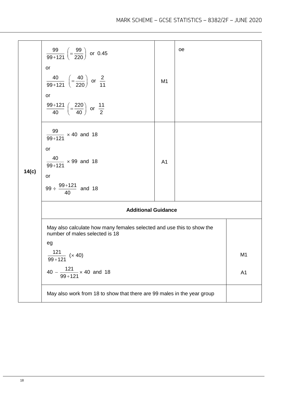| 14(c) | $\frac{99}{99+121}$ $\left(=\frac{99}{220}\right)$ or 0.45<br>or<br>$\frac{40}{99+121}$ $\left(=\frac{40}{220}\right)$ or $\frac{2}{11}$<br>or<br>$\frac{99+121}{40}$ $\left(=\frac{220}{40}\right)$ or $\frac{11}{2}$ | M1             | oe |                |  |
|-------|------------------------------------------------------------------------------------------------------------------------------------------------------------------------------------------------------------------------|----------------|----|----------------|--|
|       | $\frac{99}{99+121}$ × 40 and 18<br>or<br>$\frac{40}{99+121}$ × 99 and 18<br>or<br>99 ÷ $\frac{99+121}{40}$ and 18                                                                                                      | A <sub>1</sub> |    |                |  |
|       | <b>Additional Guidance</b>                                                                                                                                                                                             |                |    |                |  |
|       | May also calculate how many females selected and use this to show the<br>number of males selected is 18<br>eg                                                                                                          |                |    |                |  |
|       | $\frac{121}{99+121}$ (× 40)                                                                                                                                                                                            |                |    | M <sub>1</sub> |  |
|       | $40 - \frac{121}{99 + 121} \times 40$ and 18                                                                                                                                                                           |                |    | A <sub>1</sub> |  |
|       | May also work from 18 to show that there are 99 males in the year group                                                                                                                                                |                |    |                |  |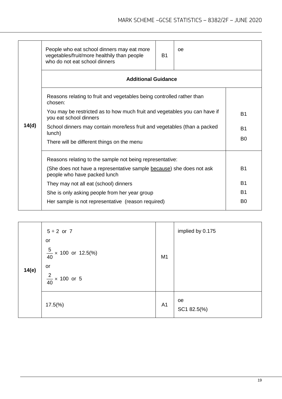|  |       | People who eat school dinners may eat more<br>vegetables/fruit/more healthily than people<br>who do not eat school dinners | B1             | oe |  |  |
|--|-------|----------------------------------------------------------------------------------------------------------------------------|----------------|----|--|--|
|  |       | <b>Additional Guidance</b>                                                                                                 |                |    |  |  |
|  |       | Reasons relating to fruit and vegetables being controlled rather than<br>chosen:                                           |                |    |  |  |
|  |       | You may be restricted as to how much fruit and vegetables you can have if<br>you eat school dinners                        | <b>B1</b>      |    |  |  |
|  | 14(d) | School dinners may contain more/less fruit and vegetables (than a packed<br>lunch)                                         | <b>B1</b>      |    |  |  |
|  |       | There will be different things on the menu                                                                                 | B <sub>0</sub> |    |  |  |
|  |       | Reasons relating to the sample not being representative:                                                                   |                |    |  |  |
|  |       | (She does not have a representative sample because) she does not ask<br>people who have packed lunch                       | <b>B1</b>      |    |  |  |
|  |       | They may not all eat (school) dinners                                                                                      | B1             |    |  |  |
|  |       | She is only asking people from her year group                                                                              | <b>B1</b>      |    |  |  |
|  |       | Her sample is not representative (reason required)                                                                         | B <sub>0</sub> |    |  |  |
|  |       |                                                                                                                            |                |    |  |  |

| 14(e) | $5 + 2$ or 7<br>or<br>$\frac{5}{40}$ × 100 or 12.5(%)<br>or<br>$\frac{2}{40}$ × 100 or 5 | M1             | implied by 0.175  |
|-------|------------------------------------------------------------------------------------------|----------------|-------------------|
|       | $17.5\%$                                                                                 | A <sub>1</sub> | oe<br>SC1 82.5(%) |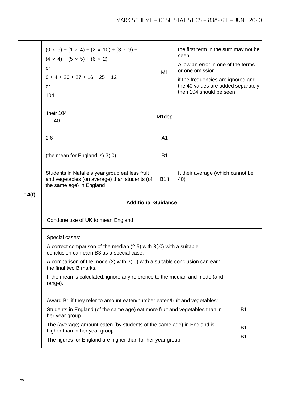|       | $(0 \times 6) + (1 \times 4) + (2 \times 10) + (3 \times 9) +$<br>$(4 \times 4) + (5 \times 5) + (6 \times 2)$<br>or<br>$0+4+20+27+16+25+12$<br>or<br>104 | M1                 | the first term in the sum may not be<br>seen.<br>Allow an error in one of the terms<br>or one omission.<br>if the frequencies are ignored and<br>the 40 values are added separately<br>then 104 should be seen |                        |  |
|-------|-----------------------------------------------------------------------------------------------------------------------------------------------------------|--------------------|----------------------------------------------------------------------------------------------------------------------------------------------------------------------------------------------------------------|------------------------|--|
|       | their 104<br>40                                                                                                                                           | M <sub>1</sub> dep |                                                                                                                                                                                                                |                        |  |
|       | 2.6                                                                                                                                                       | A1                 |                                                                                                                                                                                                                |                        |  |
|       | (the mean for England is) 3(.0)                                                                                                                           | <b>B1</b>          |                                                                                                                                                                                                                |                        |  |
|       | Students in Natalie's year group eat less fruit<br>and vegetables (on average) than students (of<br>the same age) in England                              | B <sub>1ft</sub>   | ft their average (which cannot be<br>40)                                                                                                                                                                       |                        |  |
| 14(f) | <b>Additional Guidance</b>                                                                                                                                |                    |                                                                                                                                                                                                                |                        |  |
|       | Condone use of UK to mean England                                                                                                                         |                    |                                                                                                                                                                                                                |                        |  |
|       | Special cases:<br>A correct comparison of the median (2.5) with 3(.0) with a suitable<br>conclusion can earn B3 as a special case                         |                    |                                                                                                                                                                                                                |                        |  |
|       | A comparison of the mode (2) with 3(.0) with a suitable conclusion can earn<br>the final two B marks.                                                     |                    |                                                                                                                                                                                                                |                        |  |
|       | If the mean is calculated, ignore any reference to the median and mode (and<br>range).                                                                    |                    |                                                                                                                                                                                                                |                        |  |
|       | Award B1 if they refer to amount eaten/number eaten/fruit and vegetables:                                                                                 |                    |                                                                                                                                                                                                                |                        |  |
|       | Students in England (of the same age) eat more fruit and vegetables than in<br>her year group                                                             |                    |                                                                                                                                                                                                                | <b>B1</b>              |  |
|       | The (average) amount eaten (by students of the same age) in England is<br>higher than in her year group                                                   |                    |                                                                                                                                                                                                                | <b>B1</b><br><b>B1</b> |  |
|       | The figures for England are higher than for her year group                                                                                                |                    |                                                                                                                                                                                                                |                        |  |